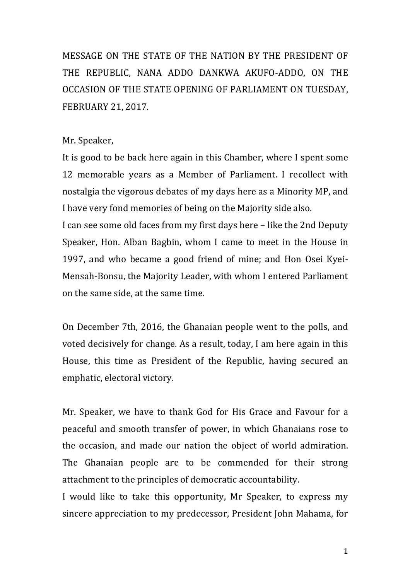MESSAGE ON THE STATE OF THE NATION BY THE PRESIDENT OF THE REPUBLIC, NANA ADDO DANKWA AKUFO-ADDO, ON THE OCCASION OF THE STATE OPENING OF PARLIAMENT ON TUESDAY, FEBRUARY 21, 2017.

## Mr. Speaker,

It is good to be back here again in this Chamber, where I spent some 12 memorable vears as a Member of Parliament. I recollect with nostalgia the vigorous debates of my days here as a Minority MP, and I have very fond memories of being on the Majority side also.

I can see some old faces from my first days here – like the 2nd Deputy Speaker, Hon. Alban Bagbin, whom I came to meet in the House in 1997, and who became a good friend of mine; and Hon Osei Kyei-Mensah-Bonsu, the Majority Leader, with whom I entered Parliament on the same side, at the same time.

On December 7th, 2016, the Ghanaian people went to the polls, and voted decisively for change. As a result, today, I am here again in this House, this time as President of the Republic, having secured an emphatic, electoral victory.

Mr. Speaker, we have to thank God for His Grace and Favour for a peaceful and smooth transfer of power, in which Ghanaians rose to the occasion, and made our nation the object of world admiration. The Ghanaian people are to be commended for their strong attachment to the principles of democratic accountability.

I would like to take this opportunity, Mr Speaker, to express my sincere appreciation to my predecessor, President John Mahama, for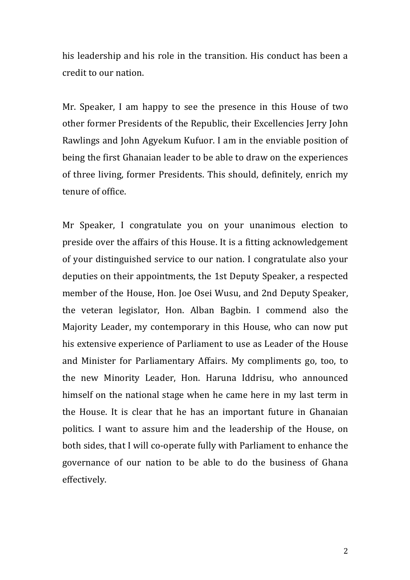his leadership and his role in the transition. His conduct has been a credit to our nation.

Mr. Speaker, I am happy to see the presence in this House of two other former Presidents of the Republic, their Excellencies Jerry John Rawlings and John Agyekum Kufuor. I am in the enviable position of being the first Ghanaian leader to be able to draw on the experiences of three living, former Presidents. This should, definitely, enrich my tenure of office.

Mr Speaker, I congratulate you on your unanimous election to preside over the affairs of this House. It is a fitting acknowledgement of your distinguished service to our nation. I congratulate also your deputies on their appointments, the 1st Deputy Speaker, a respected member of the House, Hon. Joe Osei Wusu, and 2nd Deputy Speaker, the veteran legislator, Hon. Alban Bagbin. I commend also the Majority Leader, my contemporary in this House, who can now put his extensive experience of Parliament to use as Leader of the House and Minister for Parliamentary Affairs. My compliments go, too, to the new Minority Leader, Hon. Haruna Iddrisu, who announced himself on the national stage when he came here in my last term in the House. It is clear that he has an important future in Ghanaian politics. I want to assure him and the leadership of the House, on both sides, that I will co-operate fully with Parliament to enhance the governance of our nation to be able to do the business of Ghana effectively.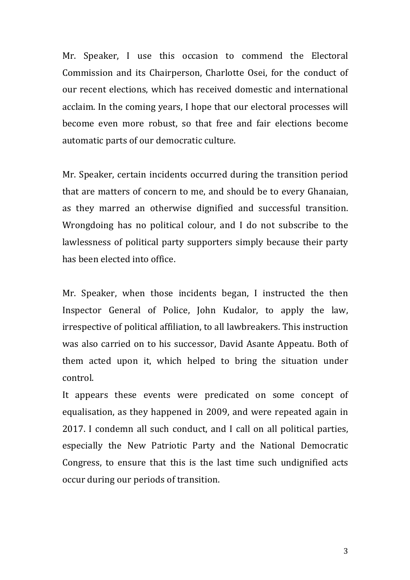Mr. Speaker, I use this occasion to commend the Electoral Commission and its Chairperson, Charlotte Osei, for the conduct of our recent elections, which has received domestic and international acclaim. In the coming years, I hope that our electoral processes will become even more robust, so that free and fair elections become automatic parts of our democratic culture.

Mr. Speaker, certain incidents occurred during the transition period that are matters of concern to me, and should be to every Ghanaian, as they marred an otherwise dignified and successful transition. Wrongdoing has no political colour, and I do not subscribe to the lawlessness of political party supporters simply because their party has been elected into office.

Mr. Speaker, when those incidents began, I instructed the then Inspector General of Police, John Kudalor, to apply the law, irrespective of political affiliation, to all lawbreakers. This instruction was also carried on to his successor, David Asante Appeatu. Both of them acted upon it, which helped to bring the situation under control.

It appears these events were predicated on some concept of equalisation, as they happened in 2009, and were repeated again in 2017. I condemn all such conduct, and I call on all political parties, especially the New Patriotic Party and the National Democratic Congress, to ensure that this is the last time such undignified acts occur during our periods of transition.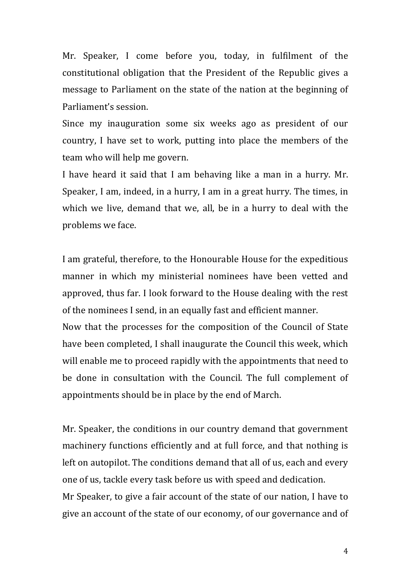Mr. Speaker, I come before you, today, in fulfilment of the constitutional obligation that the President of the Republic gives a message to Parliament on the state of the nation at the beginning of Parliament's session.

Since my inauguration some six weeks ago as president of our country. I have set to work, putting into place the members of the team who will help me govern.

I have heard it said that I am behaving like a man in a hurry. Mr. Speaker, I am, indeed, in a hurry, I am in a great hurry. The times, in which we live, demand that we, all, be in a hurry to deal with the problems we face.

I am grateful, therefore, to the Honourable House for the expeditious manner in which my ministerial nominees have been vetted and approved, thus far. I look forward to the House dealing with the rest of the nominees I send, in an equally fast and efficient manner.

Now that the processes for the composition of the Council of State have been completed, I shall inaugurate the Council this week, which will enable me to proceed rapidly with the appointments that need to be done in consultation with the Council. The full complement of appointments should be in place by the end of March.

Mr. Speaker, the conditions in our country demand that government machinery functions efficiently and at full force, and that nothing is left on autopilot. The conditions demand that all of us, each and every one of us, tackle every task before us with speed and dedication.

Mr Speaker, to give a fair account of the state of our nation, I have to give an account of the state of our economy, of our governance and of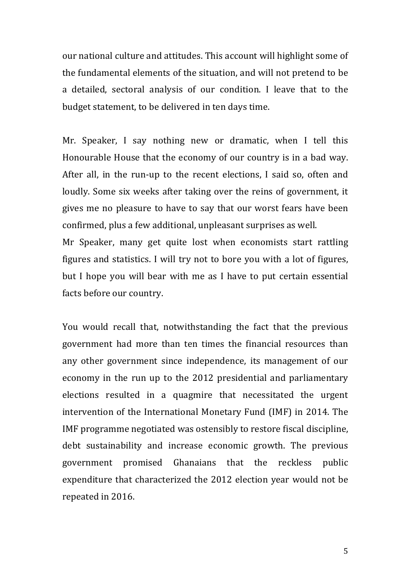our national culture and attitudes. This account will highlight some of the fundamental elements of the situation, and will not pretend to be a detailed, sectoral analysis of our condition. I leave that to the budget statement, to be delivered in ten days time.

Mr. Speaker, I say nothing new or dramatic, when I tell this Honourable House that the economy of our country is in a bad way. After all, in the run-up to the recent elections, I said so, often and loudly. Some six weeks after taking over the reins of government, it gives me no pleasure to have to say that our worst fears have been confirmed, plus a few additional, unpleasant surprises as well.

Mr Speaker, many get quite lost when economists start rattling figures and statistics. I will try not to bore you with a lot of figures, but I hope you will bear with me as I have to put certain essential facts before our country.

You would recall that, notwithstanding the fact that the previous government had more than ten times the financial resources than any other government since independence, its management of our economy in the run up to the 2012 presidential and parliamentary elections resulted in a quagmire that necessitated the urgent intervention of the International Monetary Fund (IMF) in 2014. The IMF programme negotiated was ostensibly to restore fiscal discipline, debt sustainability and increase economic growth. The previous government promised Ghanaians that the reckless public expenditure that characterized the 2012 election year would not be repeated in 2016.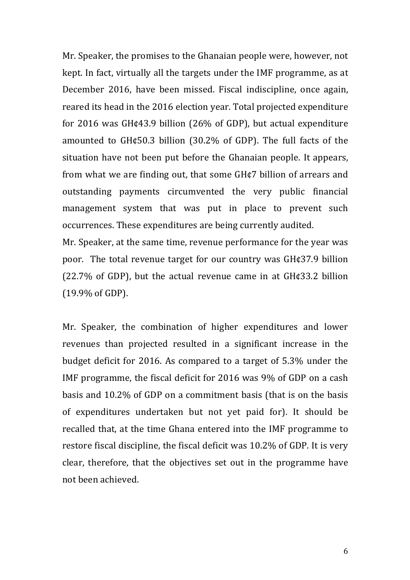Mr. Speaker, the promises to the Ghanaian people were, however, not kept. In fact, virtually all the targets under the IMF programme, as at December 2016, have been missed. Fiscal indiscipline, once again, reared its head in the 2016 election year. Total projected expenditure for 2016 was  $GHq43.9$  billion  $(26\%$  of GDP), but actual expenditure amounted to  $GH$ ¢50.3 billion  $(30.2\% \text{ of GDP})$ . The full facts of the situation have not been put before the Ghanaian people. It appears, from what we are finding out, that some  $GH$ ¢7 billion of arrears and outstanding payments circumvented the very public financial management system that was put in place to prevent such occurrences. These expenditures are being currently audited.

Mr. Speaker, at the same time, revenue performance for the year was poor. The total revenue target for our country was  $GHq37.9$  billion  $(22.7\%$  of GDP), but the actual revenue came in at GH $\epsilon$ 33.2 billion  $(19.9% of GDP).$ 

Mr. Speaker, the combination of higher expenditures and lower revenues than projected resulted in a significant increase in the budget deficit for 2016. As compared to a target of 5.3% under the IMF programme, the fiscal deficit for  $2016$  was  $9\%$  of GDP on a cash basis and  $10.2\%$  of GDP on a commitment basis (that is on the basis of expenditures undertaken but not yet paid for). It should be recalled that, at the time Ghana entered into the IMF programme to restore fiscal discipline, the fiscal deficit was 10.2% of GDP. It is very clear, therefore, that the objectives set out in the programme have not been achieved.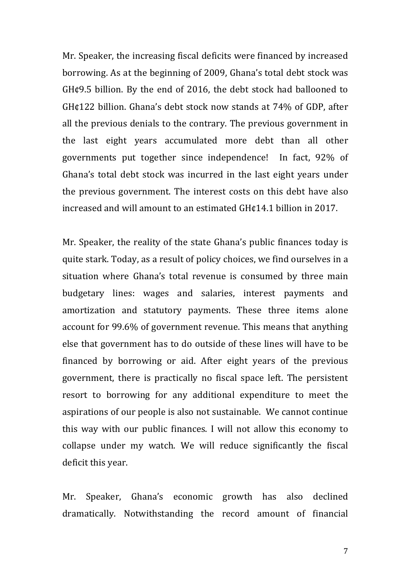Mr. Speaker, the increasing fiscal deficits were financed by increased borrowing. As at the beginning of 2009, Ghana's total debt stock was GH¢9.5 billion. By the end of 2016, the debt stock had ballooned to GH¢122 billion. Ghana's debt stock now stands at 74% of GDP, after all the previous denials to the contrary. The previous government in the last eight years accumulated more debt than all other governments put together since independence! In fact, 92% of Ghana's total debt stock was incurred in the last eight years under the previous government. The interest costs on this debt have also increased and will amount to an estimated GH¢14.1 billion in 2017.

Mr. Speaker, the reality of the state Ghana's public finances today is quite stark. Today, as a result of policy choices, we find ourselves in a situation where Ghana's total revenue is consumed by three main budgetary lines: wages and salaries, interest payments and amortization and statutory payments. These three items alone account for 99.6% of government revenue. This means that anything else that government has to do outside of these lines will have to be financed by borrowing or aid. After eight years of the previous government, there is practically no fiscal space left. The persistent resort to borrowing for any additional expenditure to meet the aspirations of our people is also not sustainable. We cannot continue this way with our public finances. I will not allow this economy to collapse under my watch. We will reduce significantly the fiscal deficit this year.

Mr. Speaker, Ghana's economic growth has also declined dramatically. Notwithstanding the record amount of financial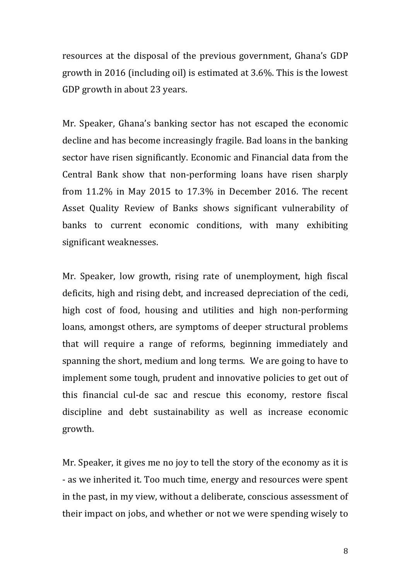resources at the disposal of the previous government, Ghana's GDP growth in 2016 (including oil) is estimated at  $3.6\%$ . This is the lowest GDP growth in about 23 years.

Mr. Speaker, Ghana's banking sector has not escaped the economic decline and has become increasingly fragile. Bad loans in the banking sector have risen significantly. Economic and Financial data from the Central Bank show that non-performing loans have risen sharply from  $11.2\%$  in May 2015 to 17.3% in December 2016. The recent Asset Quality Review of Banks shows significant vulnerability of banks to current economic conditions, with many exhibiting significant weaknesses.

Mr. Speaker, low growth, rising rate of unemployment, high fiscal deficits, high and rising debt, and increased depreciation of the cedi, high cost of food, housing and utilities and high non-performing loans, amongst others, are symptoms of deeper structural problems that will require a range of reforms, beginning immediately and spanning the short, medium and long terms. We are going to have to implement some tough, prudent and innovative policies to get out of this financial cul-de sac and rescue this economy, restore fiscal discipline and debt sustainability as well as increase economic growth.

Mr. Speaker, it gives me no joy to tell the story of the economy as it is - as we inherited it. Too much time, energy and resources were spent in the past, in my view, without a deliberate, conscious assessment of their impact on jobs, and whether or not we were spending wisely to

8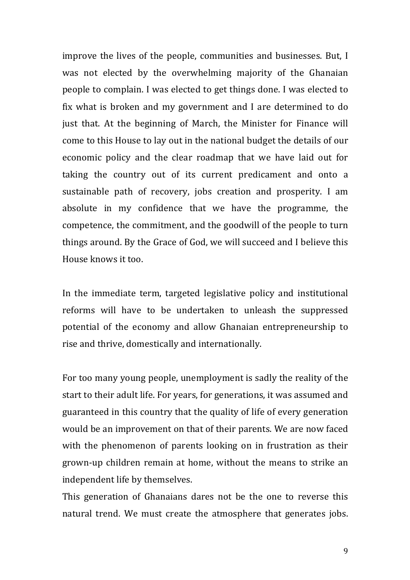improve the lives of the people, communities and businesses. But, I was not elected by the overwhelming majority of the Ghanaian people to complain. I was elected to get things done. I was elected to fix what is broken and my government and I are determined to do just that. At the beginning of March, the Minister for Finance will come to this House to lay out in the national budget the details of our economic policy and the clear roadmap that we have laid out for taking the country out of its current predicament and onto a sustainable path of recovery, jobs creation and prosperity. I am absolute in my confidence that we have the programme, the competence, the commitment, and the goodwill of the people to turn things around. By the Grace of God, we will succeed and I believe this House knows it too.

In the immediate term, targeted legislative policy and institutional reforms will have to be undertaken to unleash the suppressed potential of the economy and allow Ghanaian entrepreneurship to rise and thrive, domestically and internationally.

For too many young people, unemployment is sadly the reality of the start to their adult life. For years, for generations, it was assumed and guaranteed in this country that the quality of life of every generation would be an improvement on that of their parents. We are now faced with the phenomenon of parents looking on in frustration as their grown-up children remain at home, without the means to strike an independent life by themselves.

This generation of Ghanaians dares not be the one to reverse this natural trend. We must create the atmosphere that generates jobs.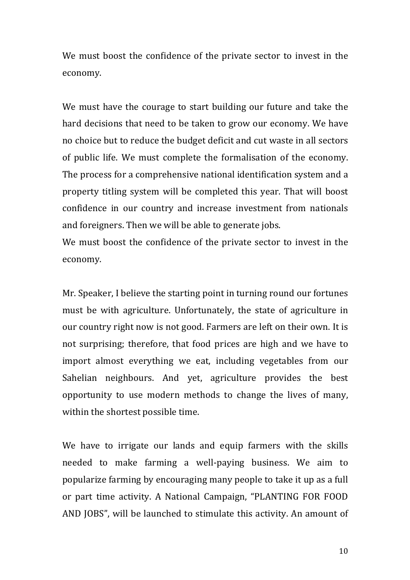We must boost the confidence of the private sector to invest in the economy. 

We must have the courage to start building our future and take the hard decisions that need to be taken to grow our economy. We have no choice but to reduce the budget deficit and cut waste in all sectors of public life. We must complete the formalisation of the economy. The process for a comprehensive national identification system and a property titling system will be completed this year. That will boost confidence in our country and increase investment from nationals and foreigners. Then we will be able to generate jobs.

We must boost the confidence of the private sector to invest in the economy.

Mr. Speaker, I believe the starting point in turning round our fortunes must be with agriculture. Unfortunately, the state of agriculture in our country right now is not good. Farmers are left on their own. It is not surprising; therefore, that food prices are high and we have to import almost everything we eat, including vegetables from our Sahelian neighbours. And yet, agriculture provides the best opportunity to use modern methods to change the lives of many, within the shortest possible time.

We have to irrigate our lands and equip farmers with the skills needed to make farming a well-paying business. We aim to popularize farming by encouraging many people to take it up as a full or part time activity. A National Campaign, "PLANTING FOR FOOD AND JOBS", will be launched to stimulate this activity. An amount of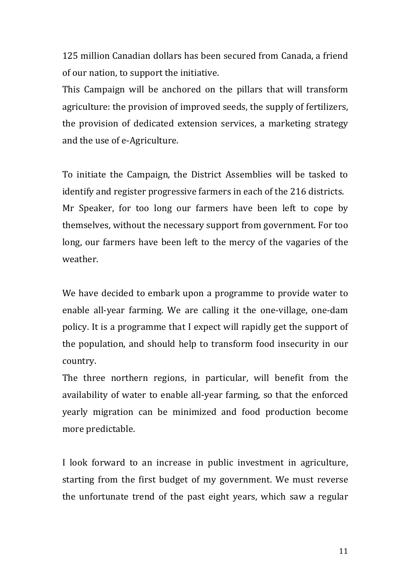125 million Canadian dollars has been secured from Canada, a friend of our nation, to support the initiative.

This Campaign will be anchored on the pillars that will transform agriculture: the provision of improved seeds, the supply of fertilizers, the provision of dedicated extension services, a marketing strategy and the use of e-Agriculture.

To initiate the Campaign, the District Assemblies will be tasked to identify and register progressive farmers in each of the 216 districts. Mr Speaker, for too long our farmers have been left to cope by themselves, without the necessary support from government. For too long, our farmers have been left to the mercy of the vagaries of the weather.

We have decided to embark upon a programme to provide water to enable all-year farming. We are calling it the one-village, one-dam policy. It is a programme that I expect will rapidly get the support of the population, and should help to transform food insecurity in our country.

The three northern regions, in particular, will benefit from the availability of water to enable all-year farming, so that the enforced yearly migration can be minimized and food production become more predictable.

I look forward to an increase in public investment in agriculture, starting from the first budget of my government. We must reverse the unfortunate trend of the past eight years, which saw a regular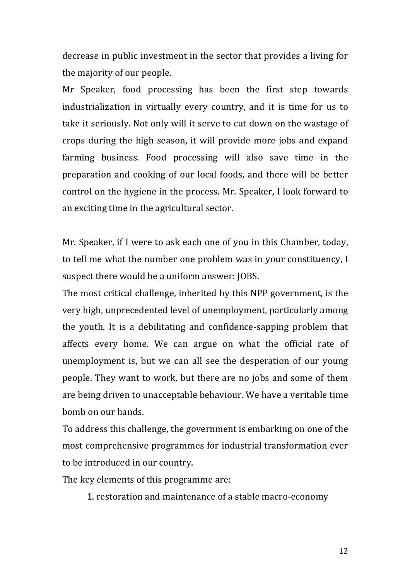decrease in public investment in the sector that provides a living for the majority of our people.

Mr Speaker, food processing has been the first step towards industrialization in virtually every country, and it is time for us to take it seriously. Not only will it serve to cut down on the wastage of crops during the high season, it will provide more jobs and expand farming business. Food processing will also save time in the preparation and cooking of our local foods, and there will be better control on the hygiene in the process. Mr. Speaker, I look forward to an exciting time in the agricultural sector.

Mr. Speaker, if I were to ask each one of you in this Chamber, today, to tell me what the number one problem was in your constituency, I suspect there would be a uniform answer: JOBS.

The most critical challenge, inherited by this NPP government, is the very high, unprecedented level of unemployment, particularly among the youth. It is a debilitating and confidence-sapping problem that affects every home. We can argue on what the official rate of unemployment is, but we can all see the desperation of our young people. They want to work, but there are no jobs and some of them are being driven to unacceptable behaviour. We have a veritable time bomb on our hands.

To address this challenge, the government is embarking on one of the most comprehensive programmes for industrial transformation ever to be introduced in our country.

The key elements of this programme are:

1. restoration and maintenance of a stable macro-economy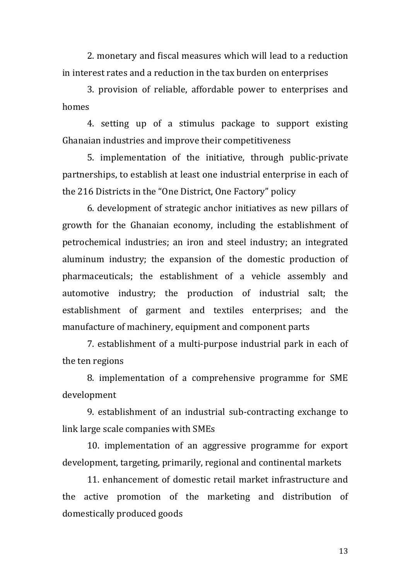2. monetary and fiscal measures which will lead to a reduction in interest rates and a reduction in the tax burden on enterprises

3. provision of reliable, affordable power to enterprises and homes

4. setting up of a stimulus package to support existing Ghanaian industries and improve their competitiveness

5. implementation of the initiative, through public-private partnerships, to establish at least one industrial enterprise in each of the 216 Districts in the "One District, One Factory" policy

6. development of strategic anchor initiatives as new pillars of growth for the Ghanaian economy, including the establishment of petrochemical industries; an iron and steel industry; an integrated aluminum industry; the expansion of the domestic production of pharmaceuticals; the establishment of a vehicle assembly and automotive industry; the production of industrial salt; the establishment of garment and textiles enterprises; and the manufacture of machinery, equipment and component parts

7. establishment of a multi-purpose industrial park in each of the ten regions

8. implementation of a comprehensive programme for SME development

9. establishment of an industrial sub-contracting exchange to link large scale companies with SMEs

10. implementation of an aggressive programme for export development, targeting, primarily, regional and continental markets

11. enhancement of domestic retail market infrastructure and the active promotion of the marketing and distribution of domestically produced goods

13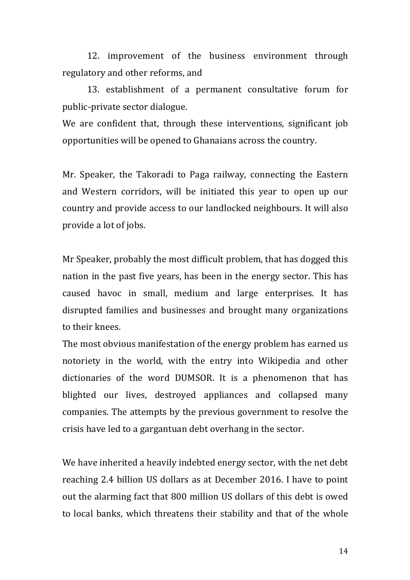12. improvement of the business environment through regulatory and other reforms, and

13. establishment of a permanent consultative forum for public-private sector dialogue.

We are confident that, through these interventions, significant job opportunities will be opened to Ghanaians across the country.

Mr. Speaker, the Takoradi to Paga railway, connecting the Eastern and Western corridors, will be initiated this year to open up our country and provide access to our landlocked neighbours. It will also provide a lot of jobs.

Mr Speaker, probably the most difficult problem, that has dogged this nation in the past five years, has been in the energy sector. This has caused havoc in small, medium and large enterprises. It has disrupted families and businesses and brought many organizations to their knees.

The most obvious manifestation of the energy problem has earned us notoriety in the world, with the entry into Wikipedia and other dictionaries of the word DUMSOR. It is a phenomenon that has blighted our lives, destroyed appliances and collapsed many companies. The attempts by the previous government to resolve the crisis have led to a gargantuan debt overhang in the sector.

We have inherited a heavily indebted energy sector, with the net debt reaching 2.4 billion US dollars as at December 2016. I have to point out the alarming fact that 800 million US dollars of this debt is owed to local banks, which threatens their stability and that of the whole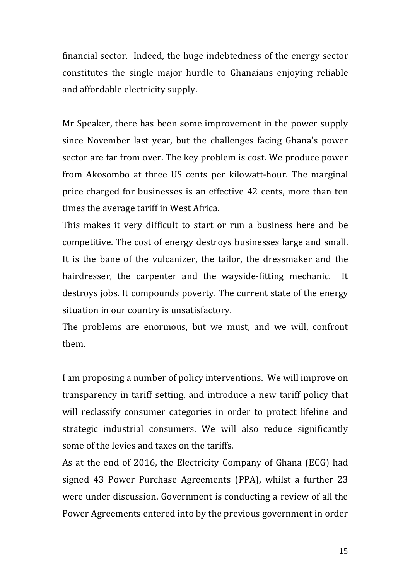financial sector. Indeed, the huge indebtedness of the energy sector constitutes the single major hurdle to Ghanaians enjoying reliable and affordable electricity supply.

Mr Speaker, there has been some improvement in the power supply since November last year, but the challenges facing Ghana's power sector are far from over. The key problem is cost. We produce power from Akosombo at three US cents per kilowatt-hour. The marginal price charged for businesses is an effective 42 cents, more than ten times the average tariff in West Africa.

This makes it very difficult to start or run a business here and be competitive. The cost of energy destroys businesses large and small. It is the bane of the vulcanizer, the tailor, the dressmaker and the hairdresser, the carpenter and the wayside-fitting mechanic. It destroys jobs. It compounds poverty. The current state of the energy situation in our country is unsatisfactory.

The problems are enormous, but we must, and we will, confront them. 

I am proposing a number of policy interventions. We will improve on transparency in tariff setting, and introduce a new tariff policy that will reclassify consumer categories in order to protect lifeline and strategic industrial consumers. We will also reduce significantly some of the levies and taxes on the tariffs.

As at the end of 2016, the Electricity Company of Ghana (ECG) had signed 43 Power Purchase Agreements (PPA), whilst a further 23 were under discussion. Government is conducting a review of all the Power Agreements entered into by the previous government in order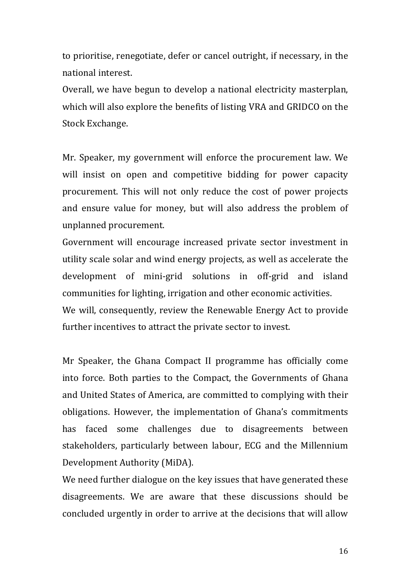to prioritise, renegotiate, defer or cancel outright, if necessary, in the national interest.

Overall, we have begun to develop a national electricity masterplan, which will also explore the benefits of listing VRA and GRIDCO on the Stock Exchange.

Mr. Speaker, my government will enforce the procurement law. We will insist on open and competitive bidding for power capacity procurement. This will not only reduce the cost of power projects and ensure value for money, but will also address the problem of unplanned procurement.

Government will encourage increased private sector investment in utility scale solar and wind energy projects, as well as accelerate the development of mini-grid solutions in off-grid and island communities for lighting, irrigation and other economic activities.

We will, consequently, review the Renewable Energy Act to provide further incentives to attract the private sector to invest.

Mr Speaker, the Ghana Compact II programme has officially come into force. Both parties to the Compact, the Governments of Ghana and United States of America, are committed to complying with their obligations. However, the implementation of Ghana's commitments has faced some challenges due to disagreements between stakeholders, particularly between labour, ECG and the Millennium Development Authority (MiDA).

We need further dialogue on the key issues that have generated these disagreements. We are aware that these discussions should be concluded urgently in order to arrive at the decisions that will allow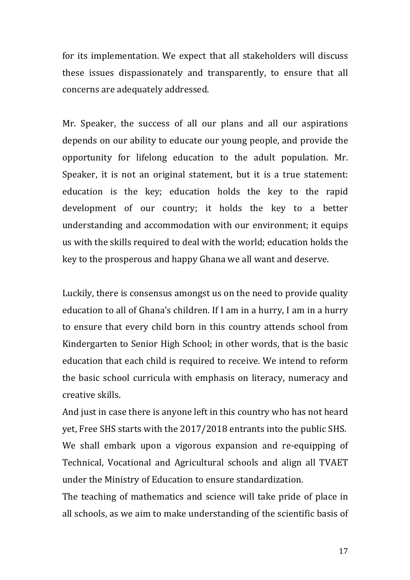for its implementation. We expect that all stakeholders will discuss these issues dispassionately and transparently, to ensure that all concerns are adequately addressed.

Mr. Speaker, the success of all our plans and all our aspirations depends on our ability to educate our young people, and provide the opportunity for lifelong education to the adult population. Mr. Speaker, it is not an original statement, but it is a true statement: education is the key; education holds the key to the rapid development of our country; it holds the key to a better understanding and accommodation with our environment; it equips us with the skills required to deal with the world; education holds the key to the prosperous and happy Ghana we all want and deserve.

Luckily, there is consensus amongst us on the need to provide quality education to all of Ghana's children. If I am in a hurry, I am in a hurry to ensure that every child born in this country attends school from Kindergarten to Senior High School; in other words, that is the basic education that each child is required to receive. We intend to reform the basic school curricula with emphasis on literacy, numeracy and creative skills.

And just in case there is anyone left in this country who has not heard yet, Free SHS starts with the 2017/2018 entrants into the public SHS. We shall embark upon a vigorous expansion and re-equipping of Technical, Vocational and Agricultural schools and align all TVAET under the Ministry of Education to ensure standardization.

The teaching of mathematics and science will take pride of place in all schools, as we aim to make understanding of the scientific basis of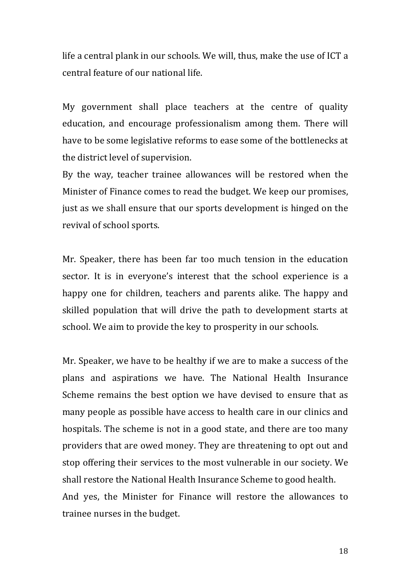life a central plank in our schools. We will, thus, make the use of ICT a central feature of our national life.

My government shall place teachers at the centre of quality education, and encourage professionalism among them. There will have to be some legislative reforms to ease some of the bottlenecks at the district level of supervision.

By the way, teacher trainee allowances will be restored when the Minister of Finance comes to read the budget. We keep our promises, just as we shall ensure that our sports development is hinged on the revival of school sports.

Mr. Speaker, there has been far too much tension in the education sector. It is in everyone's interest that the school experience is a happy one for children, teachers and parents alike. The happy and skilled population that will drive the path to development starts at school. We aim to provide the key to prosperity in our schools.

Mr. Speaker, we have to be healthy if we are to make a success of the plans and aspirations we have. The National Health Insurance Scheme remains the best option we have devised to ensure that as many people as possible have access to health care in our clinics and hospitals. The scheme is not in a good state, and there are too many providers that are owed money. They are threatening to opt out and stop offering their services to the most vulnerable in our society. We shall restore the National Health Insurance Scheme to good health. And yes, the Minister for Finance will restore the allowances to trainee nurses in the budget.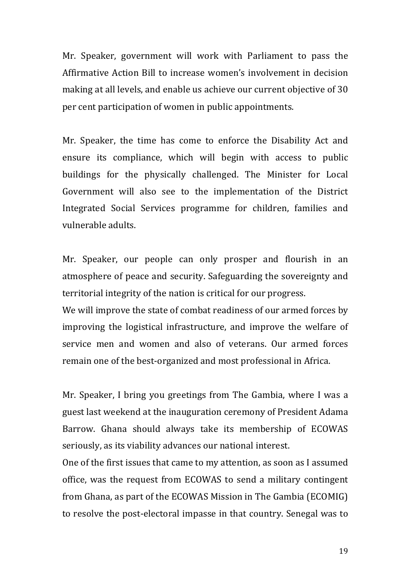Mr. Speaker, government will work with Parliament to pass the Affirmative Action Bill to increase women's involvement in decision making at all levels, and enable us achieve our current objective of 30 per cent participation of women in public appointments.

Mr. Speaker, the time has come to enforce the Disability Act and ensure its compliance, which will begin with access to public buildings for the physically challenged. The Minister for Local Government will also see to the implementation of the District Integrated Social Services programme for children, families and vulnerable adults.

Mr. Speaker, our people can only prosper and flourish in an atmosphere of peace and security. Safeguarding the sovereignty and territorial integrity of the nation is critical for our progress.

We will improve the state of combat readiness of our armed forces by improving the logistical infrastructure, and improve the welfare of service men and women and also of veterans. Our armed forces remain one of the best-organized and most professional in Africa.

Mr. Speaker, I bring you greetings from The Gambia, where I was a guest last weekend at the inauguration ceremony of President Adama Barrow. Ghana should always take its membership of ECOWAS seriously, as its viability advances our national interest.

One of the first issues that came to my attention, as soon as I assumed office, was the request from ECOWAS to send a military contingent from Ghana, as part of the ECOWAS Mission in The Gambia (ECOMIG) to resolve the post-electoral impasse in that country. Senegal was to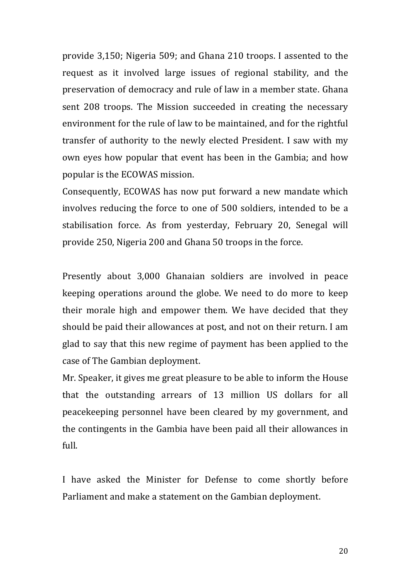provide 3,150; Nigeria 509; and Ghana 210 troops. I assented to the request as it involved large issues of regional stability, and the preservation of democracy and rule of law in a member state. Ghana sent 208 troops. The Mission succeeded in creating the necessary environment for the rule of law to be maintained, and for the rightful transfer of authority to the newly elected President. I saw with my own eyes how popular that event has been in the Gambia; and how popular is the ECOWAS mission.

Consequently, ECOWAS has now put forward a new mandate which involves reducing the force to one of 500 soldiers, intended to be a stabilisation force. As from yesterday, February 20, Senegal will provide 250, Nigeria 200 and Ghana 50 troops in the force.

Presently about 3,000 Ghanaian soldiers are involved in peace keeping operations around the globe. We need to do more to keep their morale high and empower them. We have decided that they should be paid their allowances at post, and not on their return. I am glad to say that this new regime of payment has been applied to the case of The Gambian deployment.

Mr. Speaker, it gives me great pleasure to be able to inform the House that the outstanding arrears of 13 million US dollars for all peacekeeping personnel have been cleared by my government, and the contingents in the Gambia have been paid all their allowances in full.

I have asked the Minister for Defense to come shortly before Parliament and make a statement on the Gambian deployment.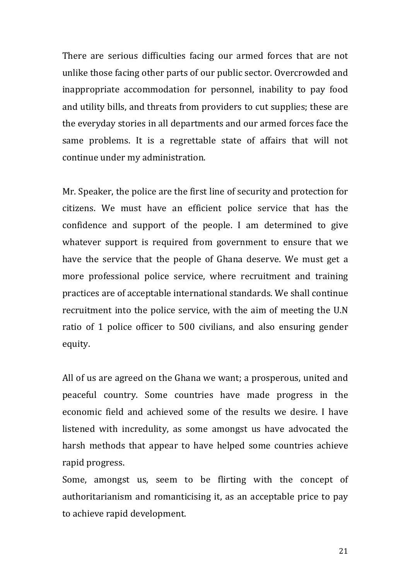There are serious difficulties facing our armed forces that are not unlike those facing other parts of our public sector. Overcrowded and inappropriate accommodation for personnel, inability to pay food and utility bills, and threats from providers to cut supplies; these are the everyday stories in all departments and our armed forces face the same problems. It is a regrettable state of affairs that will not continue under my administration.

Mr. Speaker, the police are the first line of security and protection for citizens. We must have an efficient police service that has the confidence and support of the people. I am determined to give whatever support is required from government to ensure that we have the service that the people of Ghana deserve. We must get a more professional police service, where recruitment and training practices are of acceptable international standards. We shall continue recruitment into the police service, with the aim of meeting the U.N ratio of 1 police officer to 500 civilians, and also ensuring gender equity. 

All of us are agreed on the Ghana we want; a prosperous, united and peaceful country. Some countries have made progress in the economic field and achieved some of the results we desire. I have listened with incredulity, as some amongst us have advocated the harsh methods that appear to have helped some countries achieve rapid progress.

Some, amongst us, seem to be flirting with the concept of authoritarianism and romanticising it, as an acceptable price to pay to achieve rapid development.

21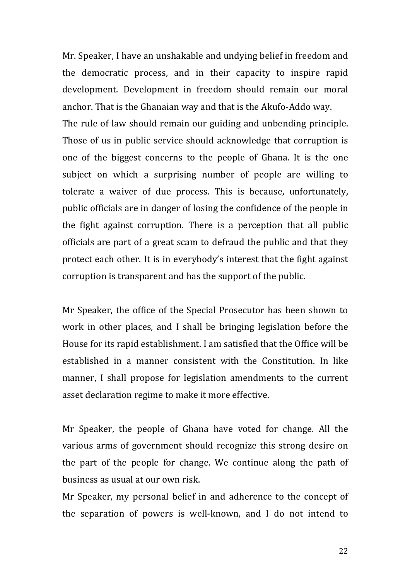Mr. Speaker, I have an unshakable and undying belief in freedom and the democratic process, and in their capacity to inspire rapid development. Development in freedom should remain our moral anchor. That is the Ghanaian way and that is the Akufo-Addo way. The rule of law should remain our guiding and unbending principle. Those of us in public service should acknowledge that corruption is one of the biggest concerns to the people of Ghana. It is the one subject on which a surprising number of people are willing to tolerate a waiver of due process. This is because, unfortunately, public officials are in danger of losing the confidence of the people in the fight against corruption. There is a perception that all public officials are part of a great scam to defraud the public and that they protect each other. It is in everybody's interest that the fight against corruption is transparent and has the support of the public.

Mr Speaker, the office of the Special Prosecutor has been shown to work in other places, and I shall be bringing legislation before the House for its rapid establishment. I am satisfied that the Office will be established in a manner consistent with the Constitution. In like manner, I shall propose for legislation amendments to the current asset declaration regime to make it more effective.

Mr Speaker, the people of Ghana have voted for change. All the various arms of government should recognize this strong desire on the part of the people for change. We continue along the path of business as usual at our own risk.

Mr Speaker, my personal belief in and adherence to the concept of the separation of powers is well-known, and I do not intend to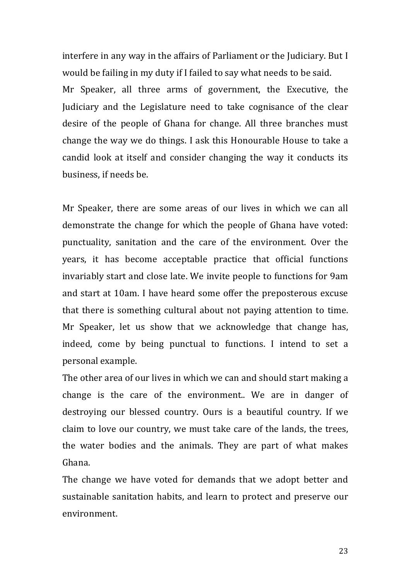interfere in any way in the affairs of Parliament or the Judiciary. But I would be failing in my duty if I failed to say what needs to be said. Mr Speaker, all three arms of government, the Executive, the Judiciary and the Legislature need to take cognisance of the clear desire of the people of Ghana for change. All three branches must change the way we do things. I ask this Honourable House to take a candid look at itself and consider changing the way it conducts its business, if needs be.

Mr Speaker, there are some areas of our lives in which we can all demonstrate the change for which the people of Ghana have voted: punctuality, sanitation and the care of the environment. Over the years, it has become acceptable practice that official functions invariably start and close late. We invite people to functions for 9am and start at 10am. I have heard some offer the preposterous excuse that there is something cultural about not paying attention to time. Mr Speaker, let us show that we acknowledge that change has, indeed, come by being punctual to functions. I intend to set a personal example.

The other area of our lives in which we can and should start making a change is the care of the environment.. We are in danger of destroying our blessed country. Ours is a beautiful country. If we claim to love our country, we must take care of the lands, the trees, the water bodies and the animals. They are part of what makes Ghana.

The change we have voted for demands that we adopt better and sustainable sanitation habits, and learn to protect and preserve our environment.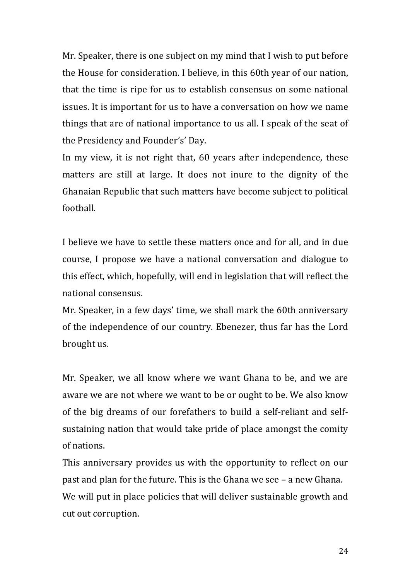Mr. Speaker, there is one subject on my mind that I wish to put before the House for consideration. I believe, in this 60th year of our nation, that the time is ripe for us to establish consensus on some national issues. It is important for us to have a conversation on how we name things that are of national importance to us all. I speak of the seat of the Presidency and Founder's' Day.

In my view, it is not right that, 60 years after independence, these matters are still at large. It does not inure to the dignity of the Ghanaian Republic that such matters have become subject to political football.

I believe we have to settle these matters once and for all, and in due course, I propose we have a national conversation and dialogue to this effect, which, hopefully, will end in legislation that will reflect the national consensus.

Mr. Speaker, in a few days' time, we shall mark the 60th anniversary of the independence of our country. Ebenezer, thus far has the Lord brought us.

Mr. Speaker, we all know where we want Ghana to be, and we are aware we are not where we want to be or ought to be. We also know of the big dreams of our forefathers to build a self-reliant and selfsustaining nation that would take pride of place amongst the comity of nations.

This anniversary provides us with the opportunity to reflect on our past and plan for the future. This is the Ghana we see  $-$  a new Ghana. We will put in place policies that will deliver sustainable growth and cut out corruption.